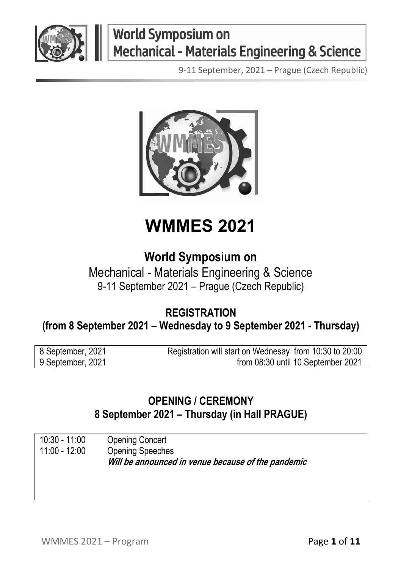

9-11 September, 2021 – Prague (Czech Republic)



## **WMMES 2021**

#### **World Symposium on**

Mechanical - Materials Engineering & Science 9-11 September 2021 – Prague (Czech Republic)

#### **REGISTRATION (from 8 September 2021 – Wednesday to 9 September 2021 - Thursday)**

| 8 September, 2021 | Registration will start on Wednesay from 10:30 to 20:00 |
|-------------------|---------------------------------------------------------|
| 9 September, 2021 | from 08:30 until 10 September 2021                      |

#### **OPENING / CEREMONY 8 September 2021 – Thursday (in Hall PRAGUE)**

10:30 - 11:00 Opening Concert Opening Speeches **Will be announced in venue because of the pandemic**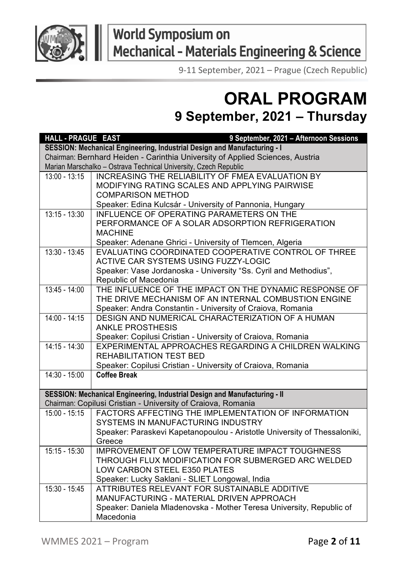

9-11 September, 2021 – Prague (Czech Republic)

### **ORAL PROGRAM 9 September, 2021 – Thursday**

| HALL - PRAGUE EAST | 9 September, 2021 - Afternoon Sessions                                        |
|--------------------|-------------------------------------------------------------------------------|
|                    | SESSION: Mechanical Engineering, Industrial Design and Manufacturing - I      |
|                    | Chairman: Bernhard Heiden - Carinthia University of Applied Sciences, Austria |
|                    | Marian Marschalko - Ostrava Technical University, Czech Republic              |
| $13:00 - 13:15$    | INCREASING THE RELIABILITY OF FMEA EVALUATION BY                              |
|                    | MODIFYING RATING SCALES AND APPLYING PAIRWISE                                 |
|                    | <b>COMPARISON METHOD</b>                                                      |
|                    | Speaker: Edina Kulcsár - University of Pannonia, Hungary                      |
| $13:15 - 13:30$    | INFLUENCE OF OPERATING PARAMETERS ON THE                                      |
|                    | PERFORMANCE OF A SOLAR ADSORPTION REFRIGERATION                               |
|                    | <b>MACHINE</b>                                                                |
|                    | Speaker: Adenane Ghrici - University of Tlemcen, Algeria                      |
| $13:30 - 13:45$    | EVALUATING COORDINATED COOPERATIVE CONTROL OF THREE                           |
|                    | ACTIVE CAR SYSTEMS USING FUZZY-LOGIC                                          |
|                    | Speaker: Vase Jordanoska - University "Ss. Cyril and Methodius",              |
|                    | Republic of Macedonia                                                         |
| $13:45 - 14:00$    | THE INFLUENCE OF THE IMPACT ON THE DYNAMIC RESPONSE OF                        |
|                    | THE DRIVE MECHANISM OF AN INTERNAL COMBUSTION ENGINE                          |
|                    | Speaker: Andra Constantin - University of Craiova, Romania                    |
| $14:00 - 14:15$    | DESIGN AND NUMERICAL CHARACTERIZATION OF A HUMAN                              |
|                    | <b>ANKLE PROSTHESIS</b>                                                       |
|                    | Speaker: Copilusi Cristian - University of Craiova, Romania                   |
| $14:15 - 14:30$    | EXPERIMENTAL APPROACHES REGARDING A CHILDREN WALKING                          |
|                    | <b>REHABILITATION TEST BED</b>                                                |
|                    | Speaker: Copilusi Cristian - University of Craiova, Romania                   |
| $14:30 - 15:00$    | <b>Coffee Break</b>                                                           |
|                    | SESSION: Mechanical Engineering, Industrial Design and Manufacturing - II     |
|                    | Chairman: Copilusi Cristian - University of Craiova, Romania                  |
| $15:00 - 15:15$    | FACTORS AFFECTING THE IMPLEMENTATION OF INFORMATION                           |
|                    | SYSTEMS IN MANUFACTURING INDUSTRY                                             |
|                    | Speaker: Paraskevi Kapetanopoulou - Aristotle University of Thessaloniki,     |
|                    | Greece                                                                        |
| $15:15 - 15:30$    | IMPROVEMENT OF LOW TEMPERATURE IMPACT TOUGHNESS                               |
|                    | THROUGH FLUX MODIFICATION FOR SUBMERGED ARC WELDED                            |
|                    | LOW CARBON STEEL E350 PLATES                                                  |
|                    | Speaker: Lucky Saklani - SLIET Longowal, India                                |
| $15:30 - 15:45$    | ATTRIBUTES RELEVANT FOR SUSTAINABLE ADDITIVE                                  |
|                    | MANUFACTURING - MATERIAL DRIVEN APPROACH                                      |
|                    | Speaker: Daniela Mladenovska - Mother Teresa University, Republic of          |
|                    | Macedonia                                                                     |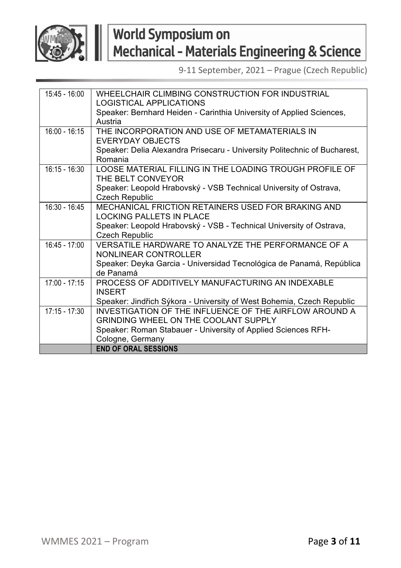

| $15:45 - 16:00$ | WHEELCHAIR CLIMBING CONSTRUCTION FOR INDUSTRIAL<br>LOGISTICAL APPLICATIONS |
|-----------------|----------------------------------------------------------------------------|
|                 | Speaker: Bernhard Heiden - Carinthia University of Applied Sciences,       |
|                 | Austria                                                                    |
| $16:00 - 16:15$ | THE INCORPORATION AND USE OF METAMATERIALS IN                              |
|                 | <b>EVERYDAY OBJECTS</b>                                                    |
|                 | Speaker: Delia Alexandra Prisecaru - University Politechnic of Bucharest,  |
|                 | Romania                                                                    |
| $16:15 - 16:30$ | LOOSE MATERIAL FILLING IN THE LOADING TROUGH PROFILE OF                    |
|                 | THE BELT CONVEYOR                                                          |
|                 | Speaker: Leopold Hrabovský - VSB Technical University of Ostrava,          |
|                 | <b>Czech Republic</b>                                                      |
| $16:30 - 16:45$ | MECHANICAL FRICTION RETAINERS USED FOR BRAKING AND                         |
|                 | I OCKING PALLETS IN PLACE                                                  |
|                 | Speaker: Leopold Hrabovský - VSB - Technical University of Ostrava,        |
|                 | <b>Czech Republic</b>                                                      |
| $16:45 - 17:00$ | VERSATILE HARDWARE TO ANALYZE THE PERFORMANCE OF A                         |
|                 | NONLINEAR CONTROLLER                                                       |
|                 | Speaker: Deyka Garcia - Universidad Tecnológica de Panamá, República       |
|                 | de Panamá                                                                  |
| $17:00 - 17:15$ | PROCESS OF ADDITIVELY MANUFACTURING AN INDEXABLE                           |
|                 | <b>INSERT</b>                                                              |
|                 | Speaker: Jindřich Sýkora - University of West Bohemia, Czech Republic      |
| $17:15 - 17:30$ | INVESTIGATION OF THE INFLUENCE OF THE AIRFLOW AROUND A                     |
|                 | <b>GRINDING WHEEL ON THE COOLANT SUPPLY</b>                                |
|                 | Speaker: Roman Stabauer - University of Applied Sciences RFH-              |
|                 | Cologne, Germany                                                           |
|                 | <b>END OF ORAL SESSIONS</b>                                                |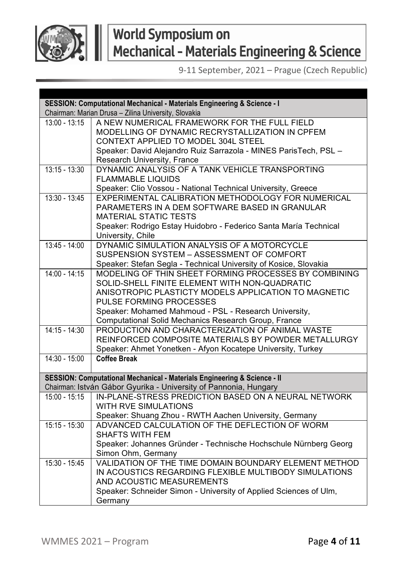

| SESSION: Computational Mechanical - Materials Engineering & Science - I |                                                                                                                           |
|-------------------------------------------------------------------------|---------------------------------------------------------------------------------------------------------------------------|
|                                                                         | Chairman: Marian Drusa - Zilina University, Slovakia                                                                      |
| $13:00 - 13:15$                                                         | A NEW NUMERICAL FRAMEWORK FOR THE FULL FIELD                                                                              |
|                                                                         | MODELLING OF DYNAMIC RECRYSTALLIZATION IN CPFEM                                                                           |
|                                                                         | CONTEXT APPLIED TO MODEL 304L STEEL                                                                                       |
|                                                                         | Speaker: David Alejandro Ruiz Sarrazola - MINES ParisTech, PSL -                                                          |
|                                                                         | Research University, France                                                                                               |
| $13:15 - 13:30$                                                         | DYNAMIC ANALYSIS OF A TANK VEHICLE TRANSPORTING                                                                           |
|                                                                         | <b>FLAMMABLE LIQUIDS</b>                                                                                                  |
|                                                                         | Speaker: Clio Vossou - National Technical University, Greece                                                              |
| $13:30 - 13:45$                                                         | EXPERIMENTAL CALIBRATION METHODOLOGY FOR NUMERICAL                                                                        |
|                                                                         | PARAMETERS IN A DEM SOFTWARE BASED IN GRANULAR                                                                            |
|                                                                         | <b>MATERIAL STATIC TESTS</b>                                                                                              |
|                                                                         | Speaker: Rodrigo Estay Huidobro - Federico Santa María Technical                                                          |
|                                                                         | University, Chile                                                                                                         |
| 13:45 - 14:00                                                           | DYNAMIC SIMULATION ANALYSIS OF A MOTORCYCLE<br>SUSPENSION SYSTEM - ASSESSMENT OF COMFORT                                  |
|                                                                         |                                                                                                                           |
| $14:00 - 14:15$                                                         | Speaker: Stefan Segla - Technical University of Kosice, Slovakia<br>MODELING OF THIN SHEET FORMING PROCESSES BY COMBINING |
|                                                                         | SOLID-SHELL FINITE ELEMENT WITH NON-QUADRATIC                                                                             |
|                                                                         | ANISOTROPIC PLASTICTY MODELS APPLICATION TO MAGNETIC                                                                      |
|                                                                         | PULSE FORMING PROCESSES                                                                                                   |
|                                                                         | Speaker: Mohamed Mahmoud - PSL - Research University,                                                                     |
|                                                                         | Computational Solid Mechanics Research Group, France                                                                      |
| $14:15 - 14:30$                                                         | PRODUCTION AND CHARACTERIZATION OF ANIMAL WASTE                                                                           |
|                                                                         | REINFORCED COMPOSITE MATERIALS BY POWDER METALLURGY                                                                       |
|                                                                         | Speaker: Ahmet Yonetken - Afyon Kocatepe University, Turkey                                                               |
| $14:30 - 15:00$                                                         | Coffee Break                                                                                                              |
|                                                                         |                                                                                                                           |
|                                                                         | SESSION: Computational Mechanical - Materials Engineering & Science - II                                                  |
|                                                                         | Chairman: István Gábor Gyurika - University of Pannonia, Hungary                                                          |
| $15:00 - 15:15$                                                         | IN-PLANE-STRESS PREDICTION BASED ON A NEURAL NETWORK                                                                      |
|                                                                         | <b>WITH RVE SIMULATIONS</b>                                                                                               |
|                                                                         | Speaker: Shuang Zhou - RWTH Aachen University, Germany                                                                    |
| $15:15 - 15:30$                                                         | ADVANCED CALCULATION OF THE DEFLECTION OF WORM                                                                            |
|                                                                         | SHAFTS WITH FEM                                                                                                           |
|                                                                         | Speaker: Johannes Gründer - Technische Hochschule Nürnberg Georg                                                          |
|                                                                         | Simon Ohm, Germany                                                                                                        |
| 15:30 - 15:45                                                           | VALIDATION OF THE TIME DOMAIN BOUNDARY ELEMENT METHOD                                                                     |
|                                                                         | IN ACOUSTICS REGARDING FLEXIBLE MULTIBODY SIMULATIONS                                                                     |
|                                                                         | AND ACOUSTIC MEASUREMENTS                                                                                                 |
|                                                                         | Speaker: Schneider Simon - University of Applied Sciences of Ulm,                                                         |
|                                                                         | Germany                                                                                                                   |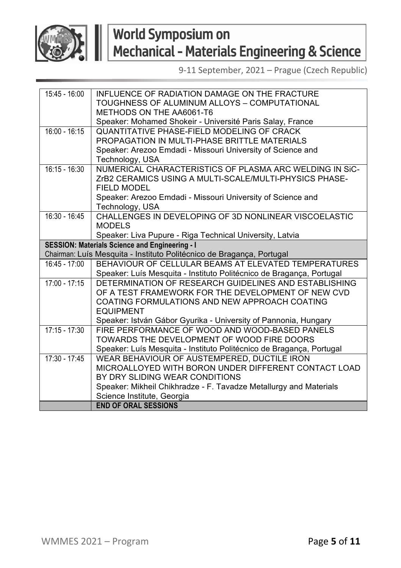

| 15:45 - 16:00   | INFLUENCE OF RADIATION DAMAGE ON THE FRACTURE                         |
|-----------------|-----------------------------------------------------------------------|
|                 | TOUGHNESS OF ALUMINUM ALLOYS - COMPUTATIONAL                          |
|                 | METHODS ON THE AA6061-T6                                              |
|                 | Speaker: Mohamed Shokeir - Université Paris Salay, France             |
| $16:00 - 16:15$ | <b>QUANTITATIVE PHASE-FIELD MODELING OF CRACK</b>                     |
|                 | PROPAGATION IN MULTI-PHASE BRITTLE MATERIALS                          |
|                 | Speaker: Arezoo Emdadi - Missouri University of Science and           |
|                 | Technology, USA                                                       |
| $16:15 - 16:30$ | NUMERICAL CHARACTERISTICS OF PLASMA ARC WELDING IN SIC-               |
|                 | ZrB2 CERAMICS USING A MULTI-SCALE/MULTI-PHYSICS PHASE-                |
|                 | <b>FIELD MODEL</b>                                                    |
|                 | Speaker: Arezoo Emdadi - Missouri University of Science and           |
|                 | Technology, USA                                                       |
| $16:30 - 16:45$ | CHALLENGES IN DEVELOPING OF 3D NONLINEAR VISCOELASTIC                 |
|                 | <b>MODELS</b>                                                         |
|                 | Speaker: Liva Pupure - Riga Technical University, Latvia              |
|                 | SESSION: Materials Science and Engineering - I                        |
|                 | Chairman: Luís Mesquita - Instituto Politécnico de Bragança, Portugal |
| $16:45 - 17:00$ | BEHAVIOUR OF CELLULAR BEAMS AT ELEVATED TEMPERATURES                  |
|                 | Speaker: Luís Mesquita - Instituto Politécnico de Bragança, Portugal  |
| $17:00 - 17:15$ | DETERMINATION OF RESEARCH GUIDELINES AND ESTABLISHING                 |
|                 | OF A TEST FRAMEWORK FOR THE DEVELOPMENT OF NEW CVD                    |
|                 | COATING FORMULATIONS AND NEW APPROACH COATING                         |
|                 | <b>EQUIPMENT</b>                                                      |
|                 | Speaker: István Gábor Gyurika - University of Pannonia, Hungary       |
| $17:15 - 17:30$ | FIRE PERFORMANCE OF WOOD AND WOOD-BASED PANELS                        |
|                 | TOWARDS THE DEVELOPMENT OF WOOD FIRE DOORS                            |
|                 | Speaker: Luís Mesquita - Instituto Politécnico de Bragança, Portugal  |
| $17:30 - 17:45$ | WEAR BEHAVIOUR OF AUSTEMPERED, DUCTILE IRON                           |
|                 | MICROALLOYED WITH BORON UNDER DIFFERENT CONTACT LOAD                  |
|                 | BY DRY SLIDING WEAR CONDITIONS                                        |
|                 | Speaker: Mikheil Chikhradze - F. Tavadze Metallurgy and Materials     |
|                 | Science Institute, Georgia                                            |
|                 | <b>END OF ORAL SESSIONS</b>                                           |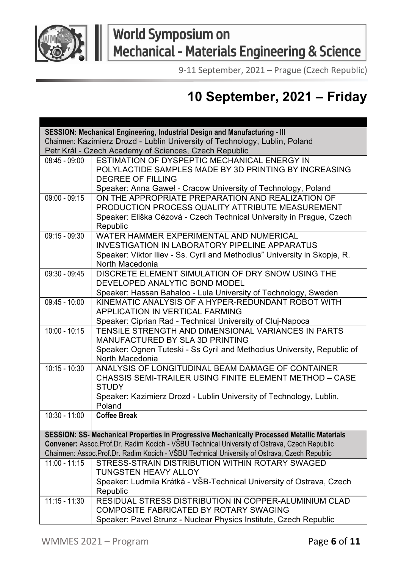

9-11 September, 2021 – Prague (Czech Republic)

### **10 September, 2021 – Friday**

| SESSION: Mechanical Engineering, Industrial Design and Manufacturing - III  |                                                                                                                   |
|-----------------------------------------------------------------------------|-------------------------------------------------------------------------------------------------------------------|
| Chairmen: Kazimierz Drozd - Lublin University of Technology, Lublin, Poland |                                                                                                                   |
|                                                                             | Petr Král - Czech Academy of Sciences, Czech Republic                                                             |
| $08:45 - 09:00$                                                             | ESTIMATION OF DYSPEPTIC MECHANICAL ENERGY IN                                                                      |
|                                                                             | POLYLACTIDE SAMPLES MADE BY 3D PRINTING BY INCREASING                                                             |
|                                                                             | <b>DEGREE OF FILLING</b>                                                                                          |
|                                                                             | Speaker: Anna Gaweł - Cracow University of Technology, Poland                                                     |
| $09:00 - 09:15$                                                             | ON THE APPROPRIATE PREPARATION AND REALIZATION OF                                                                 |
|                                                                             | PRODUCTION PROCESS QUALITY ATTRIBUTE MEASUREMENT                                                                  |
|                                                                             | Speaker: Eliška Cézová - Czech Technical University in Prague, Czech                                              |
|                                                                             | Republic                                                                                                          |
| 09:15 - 09:30                                                               | WATER HAMMER EXPERIMENTAL AND NUMERICAL                                                                           |
|                                                                             | <b>INVESTIGATION IN LABORATORY PIPELINE APPARATUS</b>                                                             |
|                                                                             | Speaker: Viktor Iliev - Ss. Cyril and Methodius" University in Skopje, R.                                         |
|                                                                             | North Macedonia                                                                                                   |
| $09:30 - 09:45$                                                             | DISCRETE ELEMENT SIMULATION OF DRY SNOW USING THE                                                                 |
|                                                                             | DEVELOPED ANALYTIC BOND MODEL                                                                                     |
|                                                                             | Speaker: Hassan Bahaloo - Lula University of Technology, Sweden                                                   |
| $09:45 - 10:00$                                                             | KINEMATIC ANALYSIS OF A HYPER-REDUNDANT ROBOT WITH                                                                |
|                                                                             | APPLICATION IN VERTICAL FARMING                                                                                   |
| $10:00 - 10:15$                                                             | Speaker: Ciprian Rad - Technical University of Cluj-Napoca<br>TENSILE STRENGTH AND DIMENSIONAL VARIANCES IN PARTS |
|                                                                             | MANUFACTURED BY SLA 3D PRINTING                                                                                   |
|                                                                             | Speaker: Ognen Tuteski - Ss Cyril and Methodius University, Republic of                                           |
|                                                                             | North Macedonia                                                                                                   |
| $10:15 - 10:30$                                                             | ANALYSIS OF LONGITUDINAL BEAM DAMAGE OF CONTAINER                                                                 |
|                                                                             | CHASSIS SEMI-TRAILER USING FINITE ELEMENT METHOD - CASE                                                           |
|                                                                             | <b>STUDY</b>                                                                                                      |
|                                                                             | Speaker: Kazimierz Drozd - Lublin University of Technology, Lublin,                                               |
|                                                                             | Poland                                                                                                            |
| $10:30 - 11:00$                                                             | <b>Coffee Break</b>                                                                                               |
|                                                                             | SESSION: SS- Mechanical Properties in Progressive Mechanically Processed Metallic Materials                       |
|                                                                             | Convener: Assoc.Prof.Dr. Radim Kocich - VŠBU Technical University of Ostrava, Czech Republic                      |
|                                                                             | Chairmen: Assoc.Prof.Dr. Radim Kocich - VŠBU Technical University of Ostrava, Czech Republic                      |
| $11:00 - 11:15$                                                             | STRESS-STRAIN DISTRIBUTION WITHIN ROTARY SWAGED                                                                   |
|                                                                             | <b>TUNGSTEN HEAVY ALLOY</b>                                                                                       |
|                                                                             | Speaker: Ludmila Krátká - VŠB-Technical University of Ostrava, Czech                                              |
|                                                                             | Republic                                                                                                          |
| $11:15 - 11:30$                                                             | RESIDUAL STRESS DISTRIBUTION IN COPPER-ALUMINIUM CLAD                                                             |
|                                                                             | COMPOSITE FABRICATED BY ROTARY SWAGING                                                                            |
|                                                                             | Speaker: Pavel Strunz - Nuclear Physics Institute, Czech Republic                                                 |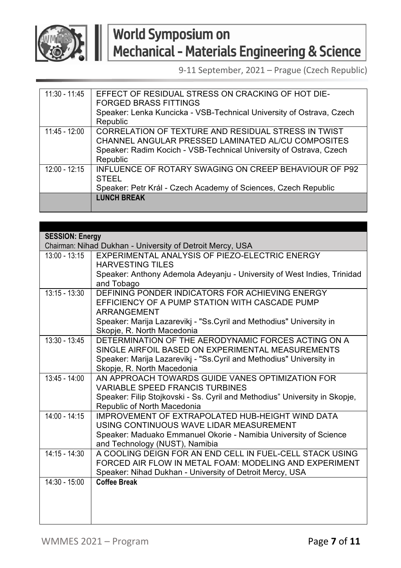

| $11:30 - 11:45$ | EFFECT OF RESIDUAL STRESS ON CRACKING OF HOT DIE-                    |
|-----------------|----------------------------------------------------------------------|
|                 | <b>FORGED BRASS FITTINGS</b>                                         |
|                 | Speaker: Lenka Kuncicka - VSB-Technical University of Ostrava, Czech |
|                 | Republic                                                             |
| $11:45 - 12:00$ | CORRELATION OF TEXTURE AND RESIDUAL STRESS IN TWIST                  |
|                 | CHANNEL ANGULAR PRESSED LAMINATED AL/CU COMPOSITES                   |
|                 | Speaker: Radim Kocich - VSB-Technical University of Ostrava, Czech   |
|                 | Republic                                                             |
| $12:00 - 12:15$ | <b>INFLUENCE OF ROTARY SWAGING ON CREEP BEHAVIOUR OF P92</b>         |
|                 | <b>STEEL</b>                                                         |
|                 | Speaker: Petr Král - Czech Academy of Sciences, Czech Republic       |
|                 | <b>LUNCH BREAK</b>                                                   |
|                 |                                                                      |

| <b>SESSION: Energy</b> |                                                                            |
|------------------------|----------------------------------------------------------------------------|
|                        | Chairman: Nihad Dukhan - University of Detroit Mercy, USA                  |
| $13:00 - 13:15$        | EXPERIMENTAL ANALYSIS OF PIEZO-ELECTRIC ENERGY                             |
|                        | <b>HARVESTING TILES</b>                                                    |
|                        | Speaker: Anthony Ademola Adeyanju - University of West Indies, Trinidad    |
|                        | and Tobago                                                                 |
| $13:15 - 13:30$        | DEFINING PONDER INDICATORS FOR ACHIEVING ENERGY                            |
|                        | EFFICIENCY OF A PUMP STATION WITH CASCADE PUMP                             |
|                        | ARRANGEMENT                                                                |
|                        | Speaker: Marija Lazarevikj - "Ss. Cyril and Methodius" University in       |
|                        | Skopje, R. North Macedonia                                                 |
| $13:30 - 13:45$        | DETERMINATION OF THE AERODYNAMIC FORCES ACTING ON A                        |
|                        | SINGLE AIRFOIL BASED ON EXPERIMENTAL MEASUREMENTS                          |
|                        | Speaker: Marija Lazarevikj - "Ss. Cyril and Methodius" University in       |
|                        | Skopje, R. North Macedonia                                                 |
| $13:45 - 14:00$        | AN APPROACH TOWARDS GUIDE VANES OPTIMIZATION FOR                           |
|                        | <b>VARIABLE SPEED FRANCIS TURBINES</b>                                     |
|                        | Speaker: Filip Stojkovski - Ss. Cyril and Methodius" University in Skopje, |
|                        | Republic of North Macedonia                                                |
| $14:00 - 14:15$        | IMPROVEMENT OF EXTRAPOLATED HUB-HEIGHT WIND DATA                           |
|                        | USING CONTINUOUS WAVE LIDAR MEASUREMENT                                    |
|                        | Speaker: Maduako Emmanuel Okorie - Namibia University of Science           |
|                        | and Technology (NUST), Namibia                                             |
| $14:15 - 14:30$        | A COOLING DEIGN FOR AN END CELL IN FUEL-CELL STACK USING                   |
|                        | FORCED AIR FLOW IN METAL FOAM: MODELING AND EXPERIMENT                     |
|                        | Speaker: Nihad Dukhan - University of Detroit Mercy, USA                   |
| $14:30 - 15:00$        | <b>Coffee Break</b>                                                        |
|                        |                                                                            |
|                        |                                                                            |
|                        |                                                                            |
|                        |                                                                            |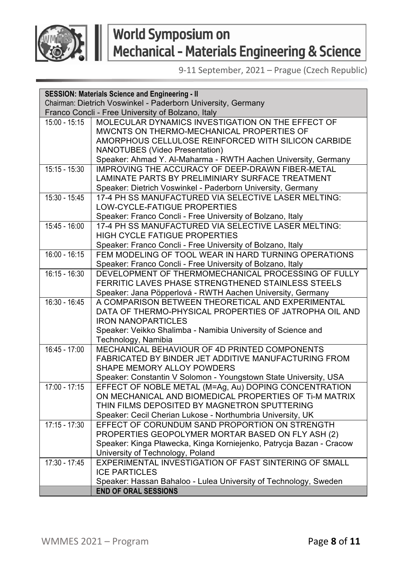

|                 | <b>SESSION: Materials Science and Engineering - II</b>              |  |
|-----------------|---------------------------------------------------------------------|--|
|                 | Chairman: Dietrich Voswinkel - Paderborn University, Germany        |  |
|                 | Franco Concli - Free University of Bolzano, Italy                   |  |
| $15:00 - 15:15$ | MOLECULAR DYNAMICS INVESTIGATION ON THE EFFECT OF                   |  |
|                 | MWCNTS ON THERMO-MECHANICAL PROPERTIES OF                           |  |
|                 | AMORPHOUS CELLULOSE REINFORCED WITH SILICON CARBIDE                 |  |
|                 | <b>NANOTUBES (Video Presentation)</b>                               |  |
|                 | Speaker: Ahmad Y. Al-Maharma - RWTH Aachen University, Germany      |  |
| $15:15 - 15:30$ | IMPROVING THE ACCURACY OF DEEP-DRAWN FIBER-METAL                    |  |
|                 | LAMINATE PARTS BY PRELIMINIARY SURFACE TREATMENT                    |  |
|                 | Speaker: Dietrich Voswinkel - Paderborn University, Germany         |  |
| $15:30 - 15:45$ | 17-4 PH SS MANUFACTURED VIA SELECTIVE LASER MELTING:                |  |
|                 | LOW-CYCLE-FATIGUE PROPERTIES                                        |  |
|                 | Speaker: Franco Concli - Free University of Bolzano, Italy          |  |
| 15:45 - 16:00   | 17-4 PH SS MANUFACTURED VIA SELECTIVE LASER MELTING:                |  |
|                 | HIGH CYCLE FATIGUE PROPERTIES                                       |  |
|                 | Speaker: Franco Concli - Free University of Bolzano, Italy          |  |
| $16:00 - 16:15$ | FEM MODELING OF TOOL WEAR IN HARD TURNING OPERATIONS                |  |
|                 | Speaker: Franco Concli - Free University of Bolzano, Italy          |  |
| $16:15 - 16:30$ | DEVELOPMENT OF THERMOMECHANICAL PROCESSING OF FULLY                 |  |
|                 | FERRITIC LAVES PHASE STRENGTHENED STAINLESS STEELS                  |  |
|                 | Speaker: Jana Pöpperlová - RWTH Aachen University, Germany          |  |
| $16:30 - 16:45$ | A COMPARISON BETWEEN THEORETICAL AND EXPERIMENTAL                   |  |
|                 | DATA OF THERMO-PHYSICAL PROPERTIES OF JATROPHA OIL AND              |  |
|                 | <b>IRON NANOPARTICLES</b>                                           |  |
|                 | Speaker: Veikko Shalimba - Namibia University of Science and        |  |
|                 | Technology, Namibia                                                 |  |
| $16:45 - 17:00$ | MECHANICAL BEHAVIOUR OF 4D PRINTED COMPONENTS                       |  |
|                 | FABRICATED BY BINDER JET ADDITIVE MANUFACTURING FROM                |  |
|                 | SHAPE MEMORY ALLOY POWDERS                                          |  |
|                 | Speaker: Constantin V Solomon - Youngstown State University, USA    |  |
| 17:00 - 17:15   | EFFECT OF NOBLE METAL (M=Ag, Au) DOPING CONCENTRATION               |  |
|                 | ON MECHANICAL AND BIOMEDICAL PROPERTIES OF TI-M MATRIX              |  |
|                 | THIN FILMS DEPOSITED BY MAGNETRON SPUTTERING                        |  |
|                 | Speaker: Cecil Cherian Lukose - Northumbria University, UK          |  |
| $17:15 - 17:30$ | EFFECT OF CORUNDUM SAND PROPORTION ON STRENGTH                      |  |
|                 | PROPERTIES GEOPOLYMER MORTAR BASED ON FLY ASH (2)                   |  |
|                 | Speaker: Kinga Pławecka, Kinga Korniejenko, Patrycja Bazan - Cracow |  |
|                 | University of Technology, Poland                                    |  |
| $17:30 - 17:45$ | EXPERIMENTAL INVESTIGATION OF FAST SINTERING OF SMALL               |  |
|                 | <b>ICE PARTICLES</b>                                                |  |
|                 | Speaker: Hassan Bahaloo - Lulea University of Technology, Sweden    |  |
|                 | <b>END OF ORAL SESSIONS</b>                                         |  |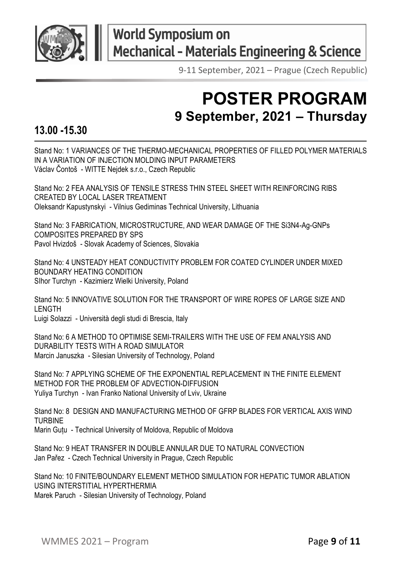

## **World Symposium on** World Jympodam. 3.1.<br>Mechanical - Materials Engineering & Science

# **POSTER PROGRAM 9 September, 2021 – Thursday**

#### **13.00 -15.30**

Stand No: 1 VARIANCES OF THE THERMO-MECHANICAL PROPERTIES OF FILLED POLYMER MATERIALS IN A VARIATION OF INJECTION MOLDING INPUT PARAMETERS Václav Čontoš - WITTE Nejdek s.r.o., Czech Republic

Stand No: 2 FEA ANALYSIS OF TENSILE STRESS THIN STEEL SHEET WITH REINFORCING RIBS CREATED BY LOCAL LASER TREATMENT Oleksandr Kapustynskyi - Vilnius Gediminas Technical University, Lithuania

Stand No: 3 FABRICATION, MICROSTRUCTURE, AND WEAR DAMAGE OF THE Si3N4-Ag-GNPs COMPOSITES PREPARED BY SPS Pavol Hvizdoš - Slovak Academy of Sciences, Slovakia

Stand No: 4 UNSTEADY HEAT CONDUCTIVITY PROBLEM FOR COATED CYLINDER UNDER MIXED BOUNDARY HEATING CONDITION SIhor Turchyn - Kazimierz Wielki University, Poland

Stand No: 5 INNOVATIVE SOLUTION FOR THE TRANSPORT OF WIRE ROPES OF LARGE SIZE AND LENGTH Luigi Solazzi - Università degli studi di Brescia, Italy

Stand No: 6 A METHOD TO OPTIMISE SEMI-TRAILERS WITH THE USE OF FEM ANALYSIS AND DURABILITY TESTS WITH A ROAD SIMULATOR Marcin Januszka - Silesian University of Technology, Poland

Stand No: 7 APPLYING SCHEME OF THE EXPONENTIAL REPLACEMENT IN THE FINITE ELEMENT METHOD FOR THE PROBLEM OF ADVECTION-DIFFUSION Yuliya Turchyn - Ivan Franko National University of Lviv, Ukraine

Stand No: 8 DESIGN AND MANUFACTURING METHOD OF GFRP BLADES FOR VERTICAL AXIS WIND **TURBINE** 

Marin Guțu - Technical University of Moldova, Republic of Moldova

Stand No: 9 HEAT TRANSFER IN DOUBLE ANNULAR DUE TO NATURAL CONVECTION Jan Pařez - Czech Technical University in Prague, Czech Republic

Stand No: 10 FINITE/BOUNDARY ELEMENT METHOD SIMULATION FOR HEPATIC TUMOR ABLATION USING INTERSTITIAL HYPERTHERMIA Marek Paruch - Silesian University of Technology, Poland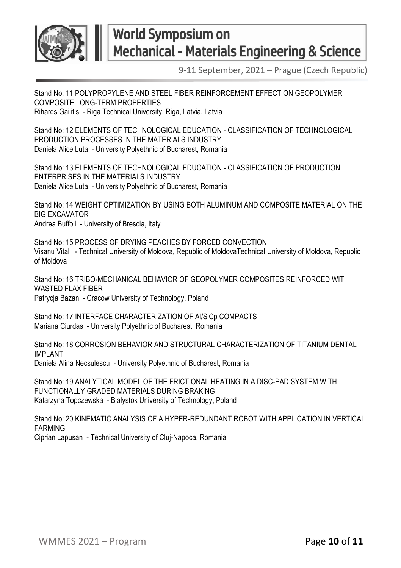

Stand No: 11 POLYPROPYLENE AND STEEL FIBER REINFORCEMENT EFFECT ON GEOPOLYMER COMPOSITE LONG-TERM PROPERTIES Rihards Gailitis - Riga Technical University, Riga, Latvia, Latvia

Stand No: 12 FLEMENTS OF TECHNOLOGICAL EDUCATION - CLASSIFICATION OF TECHNOLOGICAL PRODUCTION PROCESSES IN THE MATERIALS INDUSTRY Daniela Alice Luta - University Polyethnic of Bucharest, Romania

Stand No: 13 ELEMENTS OF TECHNOLOGICAL EDUCATION - CLASSIFICATION OF PRODUCTION ENTERPRISES IN THE MATERIALS INDUSTRY Daniela Alice Luta - University Polyethnic of Bucharest, Romania

Stand No: 14 WEIGHT OPTIMIZATION BY USING BOTH ALUMINUM AND COMPOSITE MATERIAL ON THE BIG EXCAVATOR Andrea Buffoli - University of Brescia, Italy

Stand No: 15 PROCESS OF DRYING PEACHES BY FORCED CONVECTION Visanu Vitali - Technical University of Moldova, Republic of MoldovaTechnical University of Moldova, Republic of Moldova

Stand No: 16 TRIBO-MECHANICAL BEHAVIOR OF GEOPOLYMER COMPOSITES REINFORCED WITH WASTED FLAX FIBER Patrycja Bazan - Cracow University of Technology, Poland

Stand No: 17 INTERFACE CHARACTERIZATION OF Al/SiCp COMPACTS Mariana Ciurdas - University Polyethnic of Bucharest, Romania

Stand No: 18 CORROSION BEHAVIOR AND STRUCTURAL CHARACTERIZATION OF TITANIUM DENTAL IMPLANT Daniela Alina Necsulescu - University Polyethnic of Bucharest, Romania

Stand No: 19 ANALYTICAL MODEL OF THE FRICTIONAL HEATING IN A DISC-PAD SYSTEM WITH FUNCTIONALLY GRADED MATERIALS DURING BRAKING Katarzyna Topczewska - Bialystok University of Technology, Poland

Stand No: 20 KINEMATIC ANALYSIS OF A HYPER-REDUNDANT ROBOT WITH APPLICATION IN VERTICAL FARMING Ciprian Lapusan - Technical University of Cluj-Napoca, Romania